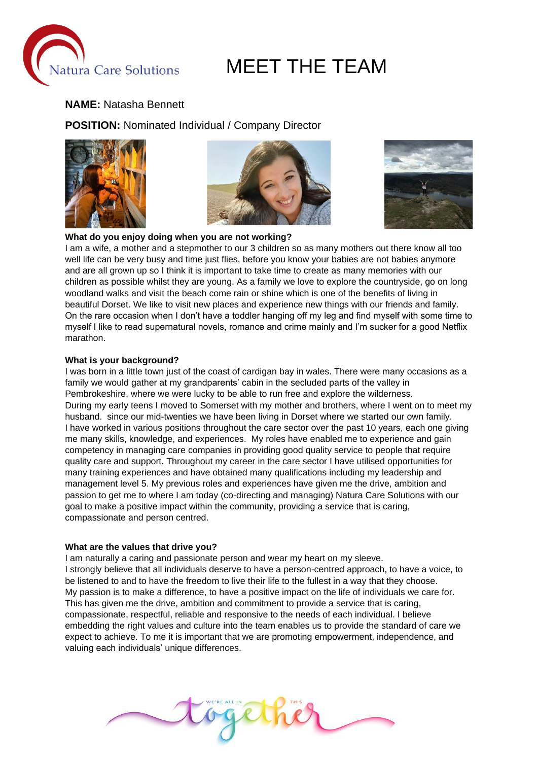

#### **NAME:** Natasha Bennett

**POSITION:** Nominated Individual / Company Director







## **What do you enjoy doing when you are not working?**

I am a wife, a mother and a stepmother to our 3 children so as many mothers out there know all too well life can be very busy and time just flies, before you know your babies are not babies anymore and are all grown up so I think it is important to take time to create as many memories with our children as possible whilst they are young. As a family we love to explore the countryside, go on long woodland walks and visit the beach come rain or shine which is one of the benefits of living in beautiful Dorset. We like to visit new places and experience new things with our friends and family. On the rare occasion when I don't have a toddler hanging off my leg and find myself with some time to myself I like to read supernatural novels, romance and crime mainly and I'm sucker for a good Netflix marathon.

#### **What is your background?**

I was born in a little town just of the coast of cardigan bay in wales. There were many occasions as a family we would gather at my grandparents' cabin in the secluded parts of the valley in Pembrokeshire, where we were lucky to be able to run free and explore the wilderness. During my early teens I moved to Somerset with my mother and brothers, where I went on to meet my husband. since our mid-twenties we have been living in Dorset where we started our own family. I have worked in various positions throughout the care sector over the past 10 years, each one giving me many skills, knowledge, and experiences. My roles have enabled me to experience and gain competency in managing care companies in providing good quality service to people that require quality care and support. Throughout my career in the care sector I have utilised opportunities for many training experiences and have obtained many qualifications including my leadership and management level 5. My previous roles and experiences have given me the drive, ambition and passion to get me to where I am today (co-directing and managing) Natura Care Solutions with our goal to make a positive impact within the community, providing a service that is caring, compassionate and person centred.

#### **What are the values that drive you?**

I am naturally a caring and passionate person and wear my heart on my sleeve. I strongly believe that all individuals deserve to have a person-centred approach, to have a voice, to be listened to and to have the freedom to live their life to the fullest in a way that they choose. My passion is to make a difference, to have a positive impact on the life of individuals we care for. This has given me the drive, ambition and commitment to provide a service that is caring, compassionate, respectful, reliable and responsive to the needs of each individual. I believe embedding the right values and culture into the team enables us to provide the standard of care we expect to achieve. To me it is important that we are promoting empowerment, independence, and valuing each individuals' unique differences.

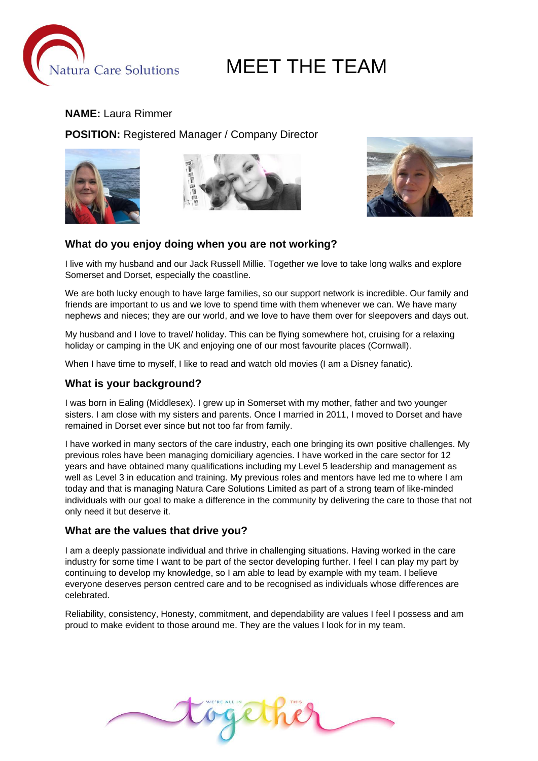

#### **NAME:** Laura Rimmer

**POSITION:** Registered Manager / Company Director







#### **What do you enjoy doing when you are not working?**

I live with my husband and our Jack Russell Millie. Together we love to take long walks and explore Somerset and Dorset, especially the coastline.

We are both lucky enough to have large families, so our support network is incredible. Our family and friends are important to us and we love to spend time with them whenever we can. We have many nephews and nieces; they are our world, and we love to have them over for sleepovers and days out.

My husband and I love to travel/ holiday. This can be flying somewhere hot, cruising for a relaxing holiday or camping in the UK and enjoying one of our most favourite places (Cornwall).

When I have time to myself, I like to read and watch old movies (I am a Disney fanatic).

#### **What is your background?**

I was born in Ealing (Middlesex). I grew up in Somerset with my mother, father and two younger sisters. I am close with my sisters and parents. Once I married in 2011, I moved to Dorset and have remained in Dorset ever since but not too far from family.

I have worked in many sectors of the care industry, each one bringing its own positive challenges. My previous roles have been managing domiciliary agencies. I have worked in the care sector for 12 years and have obtained many qualifications including my Level 5 leadership and management as well as Level 3 in education and training. My previous roles and mentors have led me to where I am today and that is managing Natura Care Solutions Limited as part of a strong team of like-minded individuals with our goal to make a difference in the community by delivering the care to those that not only need it but deserve it.

#### **What are the values that drive you?**

I am a deeply passionate individual and thrive in challenging situations. Having worked in the care industry for some time I want to be part of the sector developing further. I feel I can play my part by continuing to develop my knowledge, so I am able to lead by example with my team. I believe everyone deserves person centred care and to be recognised as individuals whose differences are celebrated.

Reliability, consistency, Honesty, commitment, and dependability are values I feel I possess and am proud to make evident to those around me. They are the values I look for in my team.

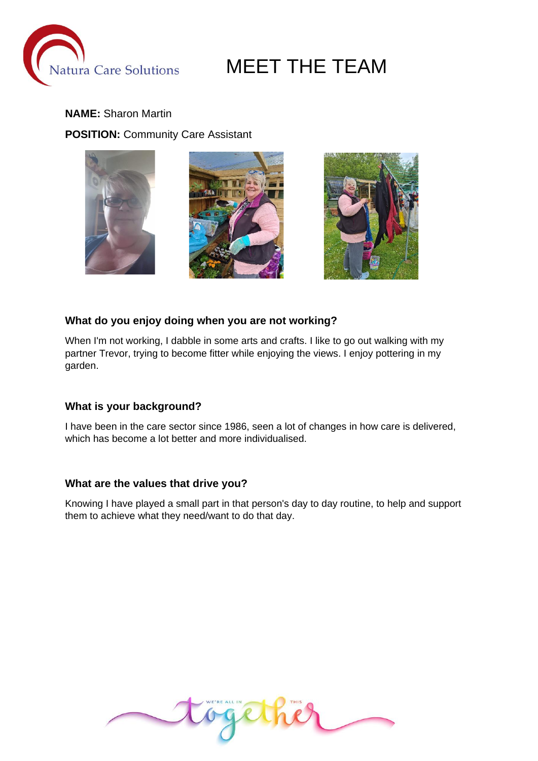

### **NAME:** Sharon Martin **POSITION:** Community Care Assistant







#### **What do you enjoy doing when you are not working?**

When I'm not working, I dabble in some arts and crafts. I like to go out walking with my partner Trevor, trying to become fitter while enjoying the views. I enjoy pottering in my garden.

#### **What is your background?**

I have been in the care sector since 1986, seen a lot of changes in how care is delivered, which has become a lot better and more individualised.

#### **What are the values that drive you?**

Knowing I have played a small part in that person's day to day routine, to help and support them to achieve what they need/want to do that day.

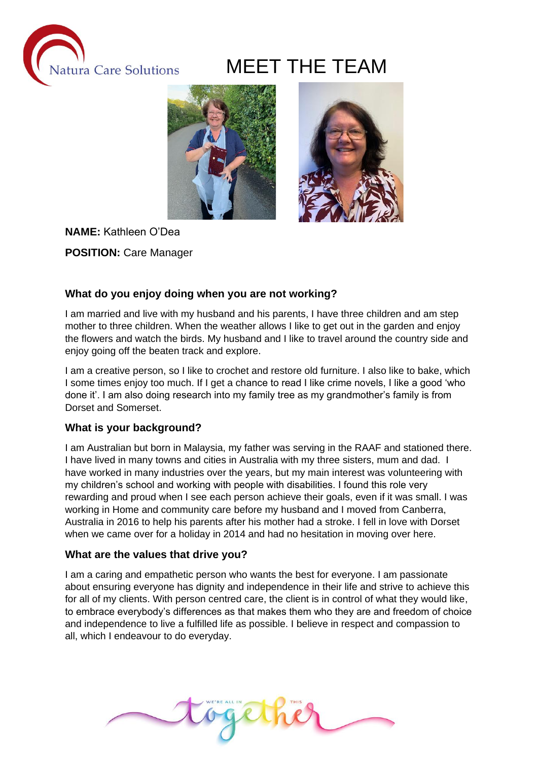



**NAME:** Kathleen O'Dea **POSITION:** Care Manager

#### **What do you enjoy doing when you are not working?**

I am married and live with my husband and his parents, I have three children and am step mother to three children. When the weather allows I like to get out in the garden and enjoy the flowers and watch the birds. My husband and I like to travel around the country side and enjoy going off the beaten track and explore.

I am a creative person, so I like to crochet and restore old furniture. I also like to bake, which I some times enjoy too much. If I get a chance to read I like crime novels, I like a good 'who done it'. I am also doing research into my family tree as my grandmother's family is from Dorset and Somerset.

#### **What is your background?**

I am Australian but born in Malaysia, my father was serving in the RAAF and stationed there. I have lived in many towns and cities in Australia with my three sisters, mum and dad. I have worked in many industries over the years, but my main interest was volunteering with my children's school and working with people with disabilities. I found this role very rewarding and proud when I see each person achieve their goals, even if it was small. I was working in Home and community care before my husband and I moved from Canberra, Australia in 2016 to help his parents after his mother had a stroke. I fell in love with Dorset when we came over for a holiday in 2014 and had no hesitation in moving over here.

#### **What are the values that drive you?**

I am a caring and empathetic person who wants the best for everyone. I am passionate about ensuring everyone has dignity and independence in their life and strive to achieve this for all of my clients. With person centred care, the client is in control of what they would like, to embrace everybody's differences as that makes them who they are and freedom of choice and independence to live a fulfilled life as possible. I believe in respect and compassion to all, which I endeavour to do everyday.

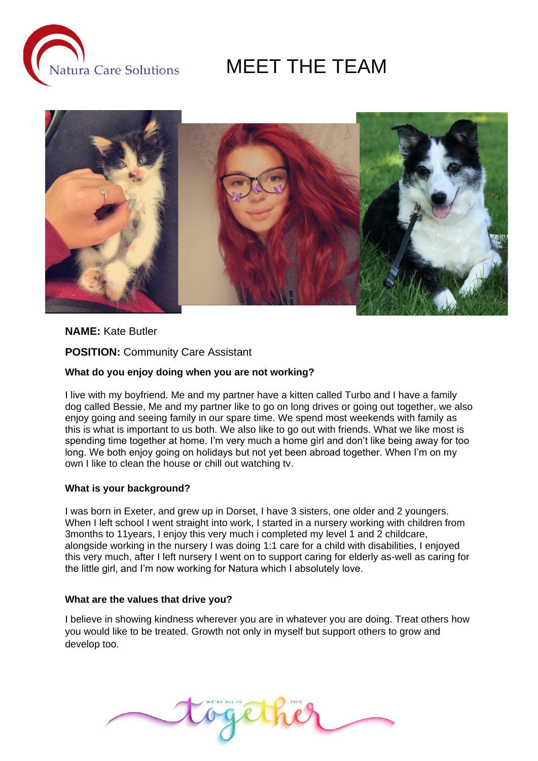



#### **NAME:** Kate Butler

**POSITION:** Community Care Assistant

#### **What do you enjoy doing when you are not working?**

I live with my boyfriend. Me and my partner have a kitten called Turbo and I have a family dog called Bessie, Me and my partner like to go on long drives or going out together, we also enjoy going and seeing family in our spare time. We spend most weekends with family as this is what is important to us both. We also like to go out with friends. What we like most is spending time together at home. I'm very much a home girl and don't like being away for too long. We both enjoy going on holidays but not yet been abroad together. When I'm on my own I like to clean the house or chill out watching tv.

#### **What is your background?**

I was born in Exeter, and grew up in Dorset, I have 3 sisters, one older and 2 youngers. When I left school I went straight into work, I started in a nursery working with children from 3months to 11years, I enjoy this very much i completed my level 1 and 2 childcare, alongside working in the nursery I was doing 1:1 care for a child with disabilities, I enjoyed this very much, after I left nursery I went on to support caring for elderly as-well as caring for the little girl, and I'm now working for Natura which I absolutely love.

#### **What are the values that drive you?**

I believe in showing kindness wherever you are in whatever you are doing. Treat others how you would like to be treated. Growth not only in myself but support others to grow and develop too.

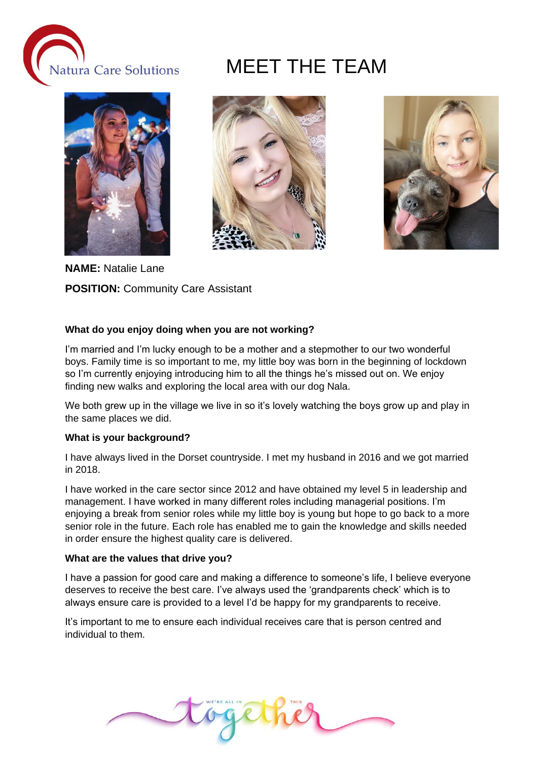







**NAME:** Natalie Lane

**POSITION:** Community Care Assistant

#### **What do you enjoy doing when you are not working?**

I'm married and I'm lucky enough to be a mother and a stepmother to our two wonderful boys. Family time is so important to me, my little boy was born in the beginning of lockdown so I'm currently enjoying introducing him to all the things he's missed out on. We enjoy finding new walks and exploring the local area with our dog Nala.

We both grew up in the village we live in so it's lovely watching the boys grow up and play in the same places we did.

#### **What is your background?**

I have always lived in the Dorset countryside. I met my husband in 2016 and we got married in 2018.

I have worked in the care sector since 2012 and have obtained my level 5 in leadership and management. I have worked in many different roles including managerial positions. I'm enjoying a break from senior roles while my little boy is young but hope to go back to a more senior role in the future. Each role has enabled me to gain the knowledge and skills needed in order ensure the highest quality care is delivered.

#### **What are the values that drive you?**

I have a passion for good care and making a difference to someone's life, I believe everyone deserves to receive the best care. I've always used the 'grandparents check' which is to always ensure care is provided to a level I'd be happy for my grandparents to receive.

It's important to me to ensure each individual receives care that is person centred and individual to them.

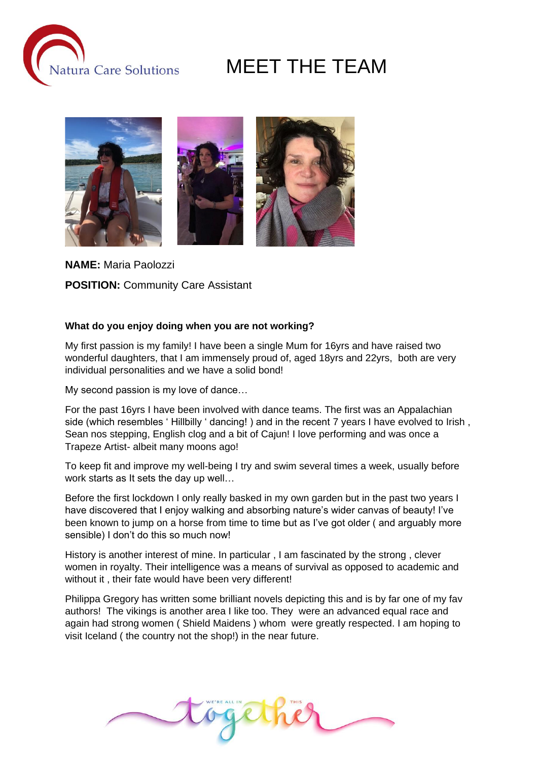



**NAME:** Maria Paolozzi

**POSITION:** Community Care Assistant

#### **What do you enjoy doing when you are not working?**

My first passion is my family! I have been a single Mum for 16yrs and have raised two wonderful daughters, that I am immensely proud of, aged 18yrs and 22yrs, both are very individual personalities and we have a solid bond!

My second passion is my love of dance…

For the past 16yrs I have been involved with dance teams. The first was an Appalachian side (which resembles 'Hillbilly ' dancing!) and in the recent 7 years I have evolved to Irish, Sean nos stepping, English clog and a bit of Cajun! I love performing and was once a Trapeze Artist- albeit many moons ago!

To keep fit and improve my well-being I try and swim several times a week, usually before work starts as It sets the day up well…

Before the first lockdown I only really basked in my own garden but in the past two years I have discovered that I enjoy walking and absorbing nature's wider canvas of beauty! I've been known to jump on a horse from time to time but as I've got older ( and arguably more sensible) I don't do this so much now!

History is another interest of mine. In particular , I am fascinated by the strong , clever women in royalty. Their intelligence was a means of survival as opposed to academic and without it, their fate would have been very different!

Philippa Gregory has written some brilliant novels depicting this and is by far one of my fav authors! The vikings is another area I like too. They were an advanced equal race and again had strong women ( Shield Maidens ) whom were greatly respected. I am hoping to visit Iceland ( the country not the shop!) in the near future.